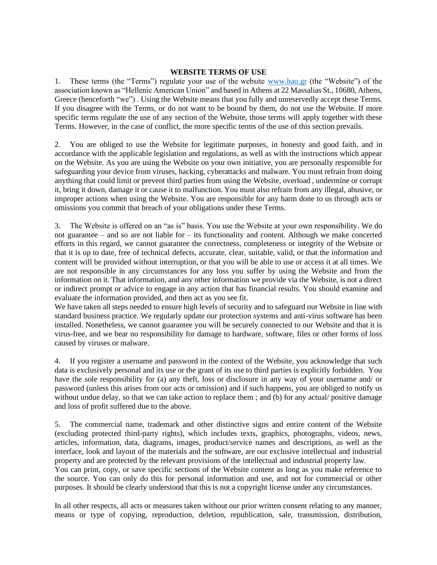## **WEBSITE TERMS OF USE**

1. These terms (the "Terms") regulate your use of the website [www.hau.gr](http://www.hau.gr/) (the "Website") of the association known as "Hellenic American Union" and based in Athens at 22 Massalias St., 10680, Athens, Greece (henceforth "we") . Using the Website means that you fully and unreservedly accept these Terms. If you disagree with the Terms, or do not want to be bound by them, do not use the Website. If more specific terms regulate the use of any section of the Website, those terms will apply together with these Terms. However, in the case of conflict, the more specific terms of the use of this section prevails.

2. You are obliged to use the Website for legitimate purposes, in honesty and good faith, and in accordance with the applicable legislation and regulations, as well as with the instructions which appear on the Website. As you are using the Website on your own initiative, you are personally responsible for safeguarding your device from viruses, hacking, cyberattacks and malware. You must refrain from doing anything that could limit or prevent third parties from using the Website, overload , undermine or corrupt it, bring it down, damage it or cause it to malfunction. You must also refrain from any illegal, abusive, or improper actions when using the Website. You are responsible for any harm done to us through acts or omissions you commit that breach of your obligations under these Terms.

3. The Website is offered on an "as is" basis. You use the Website at your own responsibility. We do not guarantee – and so are not liable for – its functionality and content. Although we make concerted efforts in this regard, we cannot guarantee the correctness, completeness or integrity of the Website or that it is up to date, free of technical defects, accurate, clear, suitable, valid, or that the information and content will be provided without interruption, or that you will be able to use or access it at all times. We are not responsible in any circumstances for any loss you suffer by using the Website and from the information on it. That information, and any other information we provide via the Website, is not a direct or indirect prompt or advice to engage in any action that has financial results. You should examine and evaluate the information provided, and then act as you see fit.

We have taken all steps needed to ensure high levels of security and to safeguard our Website in line with standard business practice. We regularly update our protection systems and anti-virus software has been installed. Nonetheless, we cannot guarantee you will be securely connected to our Website and that it is virus-free, and we bear no responsibility for damage to hardware, software, files or other forms of loss caused by viruses or malware.

4. If you register a username and password in the context of the Website, you acknowledge that such data is exclusively personal and its use or the grant of its use to third parties is explicitly forbidden. You have the sole responsibility for (a) any theft, loss or disclosure in any way of your username and/ or password (unless this arises from our acts or omission) and if such happens, you are obliged to notify us without undue delay, so that we can take action to replace them; and (b) for any actual/ positive damage and loss of profit suffered due to the above.

5. The commercial name, trademark and other distinctive signs and entire content of the Website (excluding protected third-party rights), which includes texts, graphics, photographs, videos, news, articles, information, data, diagrams, images, product/service names and descriptions, as well as the interface, look and layout of the materials and the software, are our exclusive intellectual and industrial property and are protected by the relevant provisions of the intellectual and industrial property law. You can print, copy, or save specific sections of the Website content as long as you make reference to the source. You can only do this for personal information and use, and not for commercial or other purposes. It should be clearly understood that this is not a copyright license under any circumstances.

In all other respects, all acts or measures taken without our prior written consent relating to any manner, means or type of copying, reproduction, deletion, republication, sale, transmission, distribution,